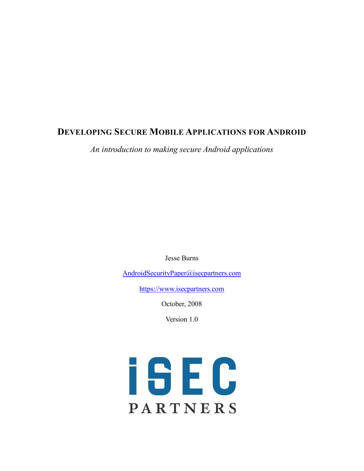### **DEVELOPING SECURE MOBILE APPLICATIONS FOR ANDROID**

*An introduction to making secure Android applications*

Jesse Burns

[AndroidSecurityPaper@isecpartners.com](mailto:AndroidSecurityPaper@isecpartners.com)

[https://www.isecpartners.com](https://www.isecpartners.com/)

October, 2008

Version 1.0

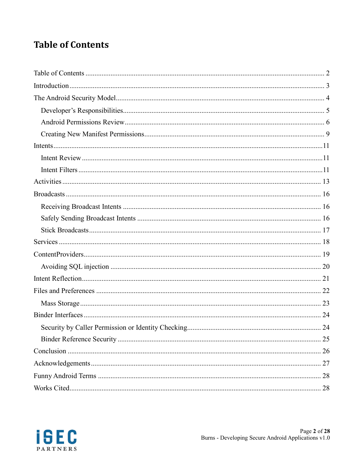# <span id="page-1-0"></span>**Table of Contents**

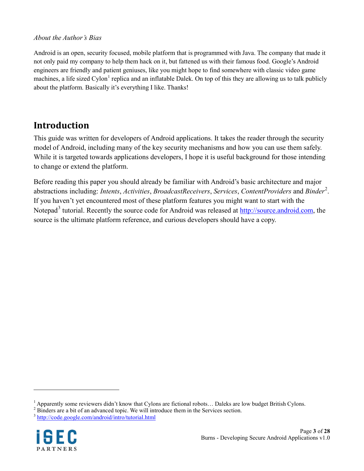#### *About the Author's Bias*

Android is an open, security focused, mobile platform that is programmed with Java. The company that made it not only paid my company to help them hack on it, but fattened us with their famous food. Google's Android engineers are friendly and patient geniuses, like you might hope to find somewhere with classic video game machines, a life sized Cylon<sup>[1](#page-2-1)</sup> replica and an inflatable Dalek. On top of this they are allowing us to talk publicly about the platform. Basically it's everything I like. Thanks!

### <span id="page-2-0"></span>**Introduction**

This guide was written for developers of Android applications. It takes the reader through the security model of Android, including many of the key security mechanisms and how you can use them safely. While it is targeted towards applications developers, I hope it is useful background for those intending to change or extend the platform.

Before reading this paper you should already be familiar with Android's basic architecture and major abstractions including: *Intents*, *Activities*, *BroadcastReceivers*, *Services*, *ContentProviders* and *Binder*[2](#page-2-2) . If you haven't yet encountered most of these platform features you might want to start with the Notepad<sup>[3](#page-2-3)</sup> tutorial. Recently the source code for Android was released at [http://source.android.com,](http://source.android.com/) the source is the ultimate platform reference, and curious developers should have a copy.

<span id="page-2-3"></span><sup>3</sup> <http://code.google.com/android/intro/tutorial.html>



<span id="page-2-1"></span><sup>&</sup>lt;sup>1</sup> Apparently some reviewers didn't know that Cylons are fictional robots... Daleks are low budget British Cylons.

<span id="page-2-2"></span><sup>&</sup>lt;sup>2</sup> Binders are a bit of an advanced topic. We will introduce them in the Services section.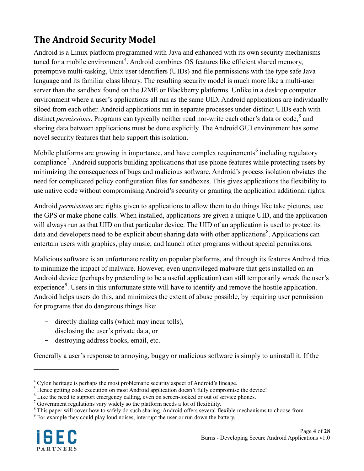# <span id="page-3-0"></span>**The Android Security Model**

Android is a Linux platform programmed with Java and enhanced with its own security mechanisms tuned for a mobile environment<sup>[4](#page-3-1)</sup>. Android combines OS features like efficient shared memory, preemptive multi-tasking, Unix user identifiers (UIDs) and file permissions with the type safe Java language and its familiar class library. The resulting security model is much more like a multi-user server than the sandbox found on the J2ME or Blackberry platforms. Unlike in a desktop computer environment where a user's applications all run as the same UID, Android applications are individually siloed from each other. Android applications run in separate processes under distinct UIDs each with distinct *permissions*. Programs can typically neither read nor-write each other's data or code, [5](#page-3-2) and sharing data between applications must be done explicitly. The Android GUI environment has some novel security features that help support this isolation.

Mobile platforms are growing in importance, and have complex requirements<sup>[6](#page-3-3)</sup> including regulatory compliance<sup>[7](#page-3-4)</sup>. Android supports building applications that use phone features while protecting users by minimizing the consequences of bugs and malicious software. Android's process isolation obviates the need for complicated policy configuration files for sandboxes. This gives applications the flexibility to use native code without compromising Android's security or granting the application additional rights.

Android *permissions* are rights given to applications to allow them to do things like take pictures, use the GPS or make phone calls. When installed, applications are given a unique UID, and the application will always run as that UID on that particular device. The UID of an application is used to protect its data and developers need to be explicit about sharing data with other applications<sup>[8](#page-3-5)</sup>. Applications can entertain users with graphics, play music, and launch other programs without special permissions.

Malicious software is an unfortunate reality on popular platforms, and through its features Android tries to minimize the impact of malware. However, even unprivileged malware that gets installed on an Android device (perhaps by pretending to be a useful application) can still temporarily wreck the user's experience<sup>[9](#page-3-6)</sup>. Users in this unfortunate state will have to identify and remove the hostile application. Android helps users do this, and minimizes the extent of abuse possible, by requiring user permission for programs that do dangerous things like:

- directly dialing calls (which may incur tolls),
- disclosing the user's private data, or
- destroying address books, email, etc.

Generally a user's response to annoying, buggy or malicious software is simply to uninstall it. If the

<span id="page-3-6"></span><span id="page-3-5"></span><sup>&</sup>lt;sup>9</sup> For example they could play loud noises, interrupt the user or run down the battery.



<span id="page-3-1"></span><sup>&</sup>lt;sup>4</sup> Cylon heritage is perhaps the most problematic security aspect of Android's lineage.<br><sup>5</sup> Hence getting code execution on most Android application doesn't fully compromise the device!<br><sup>6</sup> Like the need to support emerg

<span id="page-3-3"></span><span id="page-3-2"></span>

<span id="page-3-4"></span> $\frac{7}{8}$  Government regulations vary widely so the platform needs a lot of flexibility.<br><sup>8</sup> This paper will cover how to safely do such sharing. Android offers several flexible mechanisms to choose from.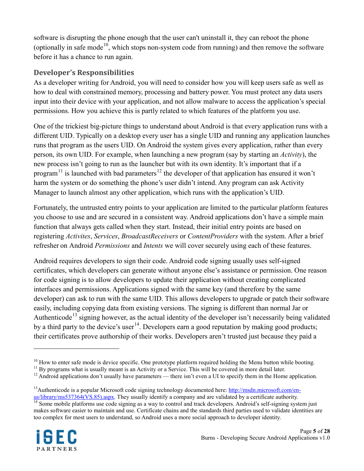software is disrupting the phone enough that the user can't uninstall it, they can reboot the phone (optionally in safe mode<sup>[10](#page-4-1)</sup>, which stops non-system code from running) and then remove the software before it has a chance to run again.

### <span id="page-4-0"></span>**Developer's Responsibilities**

As a developer writing for Android, you will need to consider how you will keep users safe as well as how to deal with constrained memory, processing and battery power. You must protect any data users input into their device with your application, and not allow malware to access the application's special permissions. How you achieve this is partly related to which features of the platform you use.

One of the trickiest big-picture things to understand about Android is that every application runs with a different UID. Typically on a desktop every user has a single UID and running any application launches runs that program as the users UID. On Android the system gives every application, rather than every person, its own UID. For example, when launching a new program (say by starting an *Activity*), the new process isn't going to run as the launcher but with its own identity. It's important that if a program<sup>[11](#page-4-2)</sup> is launched with bad parameters<sup>[12](#page-4-3)</sup> the developer of that application has ensured it won't harm the system or do something the phone's user didn't intend. Any program can ask Activity Manager to launch almost any other application, which runs with the application's UID.

Fortunately, the untrusted entry points to your application are limited to the particular platform features you choose to use and are secured in a consistent way. Android applications don't have a simple main function that always gets called when they start. Instead, their initial entry points are based on registering *Activites*, *Services*, *BroadcastReceivers* or *ContentProviders* with the system. After a brief refresher on Android *Permissions* and *Intents* we will cover securely using each of these features.

Android requires developers to sign their code. Android code signing usually uses self-signed certificates, which developers can generate without anyone else's assistance or permission. One reason for code signing is to allow developers to update their application without creating complicated interfaces and permissions. Applications signed with the same key (and therefore by the same developer) can ask to run with the same UID. This allows developers to upgrade or patch their software easily, including copying data from existing versions. The signing is different than normal Jar or Authenticode<sup>[13](#page-4-4)</sup> signing however, as the actual identity of the developer isn't necessarily being validated by a third party to the device's user<sup>[14](#page-4-5)</sup>. Developers earn a good reputation by making good products; their certificates prove authorship of their works. Developers aren't trusted just because they paid a

<span id="page-4-5"></span> $\frac{14}{14}$  Some mobile platforms use code signing as a way to control and track developers. Android's self-signing system just makes software easier to maintain and use. Certificate chains and the standards third parties used to validate identities are too complex for most users to understand, so Android uses a more social approach to developer identity.



<span id="page-4-2"></span><span id="page-4-1"></span><sup>&</sup>lt;sup>10</sup> How to enter safe mode is device specific. One prototype platform required holding the Menu button while booting.<br><sup>11</sup> By programs what is usually meant is an Activity or a Service. This will be covered in more detai

<span id="page-4-3"></span>

<span id="page-4-4"></span><sup>&</sup>lt;sup>13</sup>Authenticode is a popular Microsoft code signing technology documented here:  $\frac{http://msdn.microsoft.com/en-us/library/ms537364(VS.85).aspx. They usually identify a company and are validated by a certificate authority.$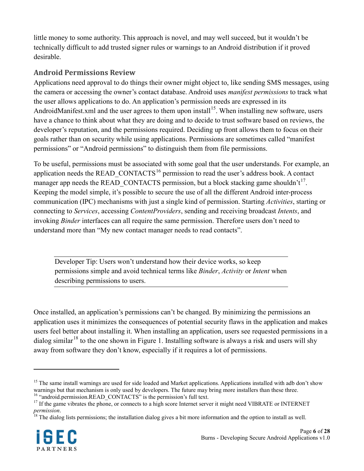little money to some authority. This approach is novel, and may well succeed, but it wouldn't be technically difficult to add trusted signer rules or warnings to an Android distribution if it proved desirable.

### <span id="page-5-0"></span>**Android Permissions Review**

Applications need approval to do things their owner might object to, like sending SMS messages, using the camera or accessing the owner's contact database. Android uses *manifest permissions* to track what the user allows applications to do. An application's permission needs are expressed in its AndroidManifest.xml and the user agrees to them upon install<sup>[15](#page-5-1)</sup>. When installing new software, users have a chance to think about what they are doing and to decide to trust software based on reviews, the developer's reputation, and the permissions required. Deciding up front allows them to focus on their goals rather than on security while using applications. Permissions are sometimes called "manifest permissions" or "Android permissions" to distinguish them from file permissions.

To be useful, permissions must be associated with some goal that the user understands. For example, an application needs the READ\_CONTACTS<sup>[16](#page-5-2)</sup> permission to read the user's address book. A contact manager app needs the READ\_CONTACTS permission, but a block stacking game shouldn't<sup>[17](#page-5-3)</sup>. Keeping the model simple, it's possible to secure the use of all the different Android inter-process communication (IPC) mechanisms with just a single kind of permission. Starting *Activities*, starting or connecting to *Services*, accessing *ContentProviders*, sending and receiving broadcast *Intents*, and invoking *Binder* interfaces can all require the same permission. Therefore users don't need to understand more than "My new contact manager needs to read contacts".

Developer Tip: Users won't understand how their device works, so keep permissions simple and avoid technical terms like *Binder*, *Activity* or *Intent* when describing permissions to users.

Once installed, an application's permissions can't be changed. By minimizing the permissions an application uses it minimizes the consequences of potential security flaws in the application and makes users feel better about installing it. When installing an application, users see requested permissions in a dialog similar<sup>[18](#page-5-4)</sup> to the one shown in [Figure 1.](#page-6-0) Installing software is always a risk and users will shy away from software they don't know, especially if it requires a lot of permissions.

<span id="page-5-4"></span><span id="page-5-3"></span>*permission*.<br><sup>18</sup> The dialog lists permissions; the installation dialog gives a bit more information and the option to install as well.



<span id="page-5-1"></span><sup>&</sup>lt;sup>15</sup> The same install warnings are used for side loaded and Market applications. Applications installed with adb don't show warnings but that mechanism is only used by developers. The future may bring more installers than these three.<br><sup>16</sup> "android.permission.READ\_CONTACTS" is the permission's full text.

<span id="page-5-2"></span><sup>&</sup>lt;sup>17</sup> If the game vibrates the phone, or connects to a high score Internet server it might need VIBRATE or INTERNET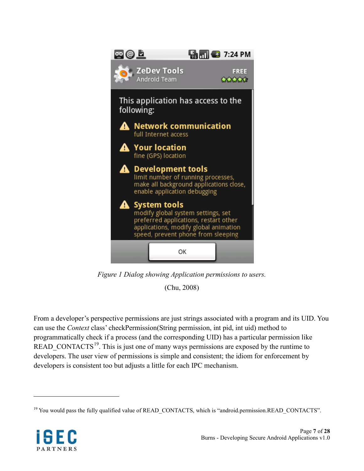

*Figure 1 Dialog showing Application permissions to users.*

(Chu, 2008)

<span id="page-6-0"></span>From a developer's perspective permissions are just strings associated with a program and its UID. You can use the *Context* class' checkPermission(String permission, int pid, int uid) method to programmatically check if a process (and the corresponding UID) has a particular permission like READ\_CONTACTS<sup>[19](#page-6-1)</sup>. This is just one of many ways permissions are exposed by the runtime to developers. The user view of permissions is simple and consistent; the idiom for enforcement by developers is consistent too but adjusts a little for each IPC mechanism.

<span id="page-6-1"></span><sup>&</sup>lt;sup>19</sup> You would pass the fully qualified value of READ\_CONTACTS, which is "android.permission.READ\_CONTACTS".

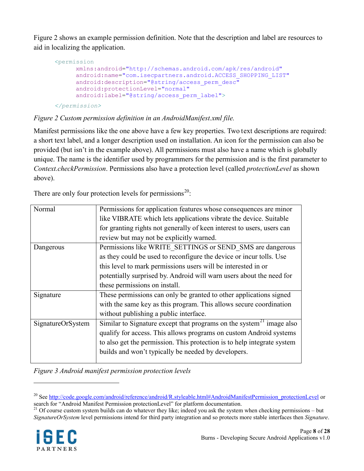[Figure 2](#page-7-0) shows an example permission definition. Note that the description and label are resources to aid in localizing the application.

```
<permission
     xmlns:android="http://schemas.android.com/apk/res/android"
     android:name="com.isecpartners.android.ACCESS_SHOPPING_LIST"
     android:description="@string/access_perm_desc"
     android:protectionLevel="normal"
     android:label="@string/access_perm_label">
</permission>
```
#### <span id="page-7-0"></span>*Figure 2 Custom permission definition in an AndroidManifest.xml file.*

Manifest permissions like the one above have a few key properties. Two text descriptions are required: a short text label, and a longer description used on installation. An icon for the permission can also be provided (but isn't in the example above). All permissions must also have a name which is globally unique. The name is the identifier used by programmers for the permission and is the first parameter to *Context.checkPermission*. Permissions also have a protection level (called *protectionLevel* as shown above).

| Normal            | Permissions for application features whose consequences are minor                |
|-------------------|----------------------------------------------------------------------------------|
|                   | like VIBRATE which lets applications vibrate the device. Suitable                |
|                   | for granting rights not generally of keen interest to users, users can           |
|                   | review but may not be explicitly warned.                                         |
| Dangerous         | Permissions like WRITE SETTINGS or SEND SMS are dangerous                        |
|                   | as they could be used to reconfigure the device or incur tolls. Use              |
|                   | this level to mark permissions users will be interested in or                    |
|                   | potentially surprised by. Android will warn users about the need for             |
|                   | these permissions on install.                                                    |
| Signature         | These permissions can only be granted to other applications signed               |
|                   | with the same key as this program. This allows secure coordination               |
|                   | without publishing a public interface.                                           |
| SignatureOrSystem | Similar to Signature except that programs on the system <sup>21</sup> image also |
|                   | qualify for access. This allows programs on custom Android systems               |
|                   | to also get the permission. This protection is to help integrate system          |
|                   | builds and won't typically be needed by developers.                              |
|                   |                                                                                  |

There are only four protection levels for permissions<sup>[20](#page-7-1)</sup>:

*Figure 3 Android manifest permission protection levels*

<span id="page-7-2"></span> $21$  Of course custom system builds can do whatever they like; indeed you ask the system when checking permissions – but *SignatureOrSystem* level permissions intend for third party integration and so protects more stable interfaces then *Signature*.



<span id="page-7-1"></span><sup>&</sup>lt;sup>20</sup> Se[e http://code.google.com/android/reference/android/R.styleable.html#AndroidManifestPermission\\_protectionLevel](http://code.google.com/android/reference/android/R.styleable.html#AndroidManifestPermission_protectionLevel) or search for "Android Manifest Permission protectionLevel" for platform documentation.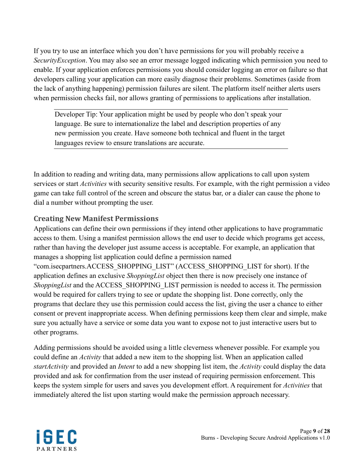If you try to use an interface which you don't have permissions for you will probably receive a *SecurityException*. You may also see an error message logged indicating which permission you need to enable. If your application enforces permissions you should consider logging an error on failure so that developers calling your application can more easily diagnose their problems. Sometimes (aside from the lack of anything happening) permission failures are silent. The platform itself neither alerts users when permission checks fail, nor allows granting of permissions to applications after installation.

Developer Tip: Your application might be used by people who don't speak your language. Be sure to internationalize the label and description properties of any new permission you create. Have someone both technical and fluent in the target languages review to ensure translations are accurate.

In addition to reading and writing data, many permissions allow applications to call upon system services or start *Activities* with security sensitive results. For example, with the right permission a video game can take full control of the screen and obscure the status bar, or a dialer can cause the phone to dial a number without prompting the user.

#### <span id="page-8-0"></span>**Creating New Manifest Permissions**

Applications can define their own permissions if they intend other applications to have programmatic access to them. Using a manifest permission allows the end user to decide which programs get access, rather than having the developer just assume access is acceptable. For example, an application that manages a shopping list application could define a permission named "com.isecpartners.ACCESS\_SHOPPING\_LIST" (ACCESS\_SHOPPING\_LIST for short). If the application defines an exclusive *ShoppingList* object then there is now precisely one instance of *ShoppingList* and the ACCESS\_SHOPPING\_LIST permission is needed to access it. The permission would be required for callers trying to see or update the shopping list. Done correctly, only the programs that declare they use this permission could access the list, giving the user a chance to either consent or prevent inappropriate access. When defining permissions keep them clear and simple, make sure you actually have a service or some data you want to expose not to just interactive users but to

Adding permissions should be avoided using a little cleverness whenever possible. For example you could define an *Activity* that added a new item to the shopping list. When an application called *startActivity* and provided an *Intent* to add a new shopping list item, the *Activity* could display the data provided and ask for confirmation from the user instead of requiring permission enforcement. This keeps the system simple for users and saves you development effort. A requirement for *Activities* that immediately altered the list upon starting would make the permission approach necessary.



other programs.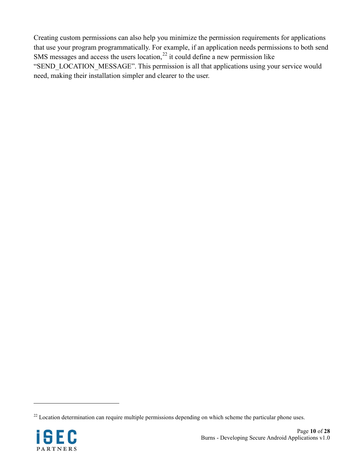Creating custom permissions can also help you minimize the permission requirements for applications that use your program programmatically. For example, if an application needs permissions to both send SMS messages and access the users location, $^{22}$  $^{22}$  $^{22}$  it could define a new permission like "SEND\_LOCATION\_MESSAGE". This permission is all that applications using your service would need, making their installation simpler and clearer to the user.

<span id="page-9-0"></span> $22$  Location determination can require multiple permissions depending on which scheme the particular phone uses.

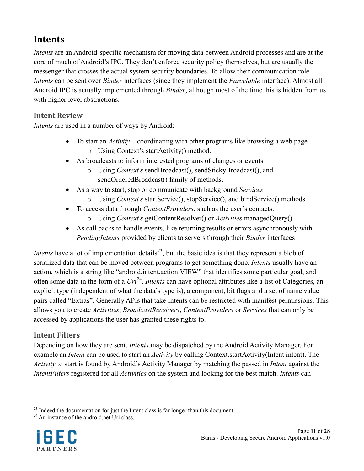### <span id="page-10-0"></span>**Intents**

*Intents* are an Android-specific mechanism for moving data between Android processes and are at the core of much of Android's IPC. They don't enforce security policy themselves, but are usually the messenger that crosses the actual system security boundaries. To allow their communication role *Intents* can be sent over *Binder* interfaces (since they implement the *Parcelable* interface). Almost all Android IPC is actually implemented through *Binder*, although most of the time this is hidden from us with higher level abstractions.

### <span id="page-10-1"></span>**Intent Review**

*Intents* are used in a number of ways by Android:

- To start an *Activity* coordinating with other programs like browsing a web page o Using Context's startActivity() method.
- As broadcasts to inform interested programs of changes or events
	- o Using *Context's* sendBroadcast(), sendStickyBroadcast(), and sendOrderedBroadcast() family of methods.
- As a way to start, stop or communicate with background *Services*
	- o Using *Context's* startService(), stopService(), and bindService() methods
- To access data through *ContentProviders*, such as the user's contacts.
	- o Using *Context's* getContentResolver() or *Activities* managedQuery()
- As call backs to handle events, like returning results or errors asynchronously with *PendingIntents* provided by clients to servers through their *Binder* interfaces

*Intents* have a lot of implementation details<sup>[23](#page-10-3)</sup>, but the basic idea is that they represent a blob of serialized data that can be moved between programs to get something done. *Intents* usually have an action, which is a string like "android.intent.action.VIEW" that identifies some particular goal, and often some data in the form of a  $Uri^{24}$  $Uri^{24}$  $Uri^{24}$ . *Intents* can have optional attributes like a list of Categories, an explicit type (independent of what the data's type is), a component, bit flags and a set of name value pairs called "Extras". Generally APIs that take Intents can be restricted with manifest permissions. This allows you to create *Activities*, *BroadcastReceivers*, *ContentProviders* or *Services* that can only be accessed by applications the user has granted these rights to.

#### <span id="page-10-2"></span>**Intent Filters**

Depending on how they are sent, *Intents* may be dispatched by the Android Activity Manager. For example an *Intent* can be used to start an *Activity* by calling Context.startActivity(Intent intent). The *Activity* to start is found by Android's Activity Manager by matching the passed in *Intent* against the *IntentFilters* registered for all *Activities* on the system and looking for the best match. *Intents* can

<span id="page-10-4"></span>

<span id="page-10-3"></span> $^{23}$  Indeed the documentation for just the Intent class is far longer than this document.  $^{24}$  An instance of the android.net.Uri class.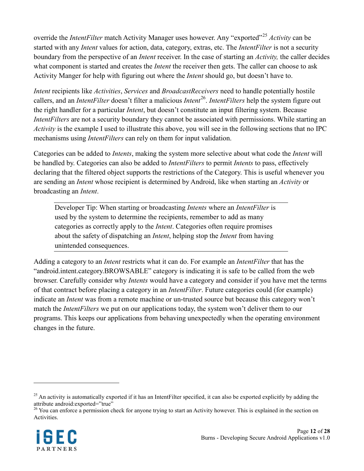override the *IntentFilter* match Activity Manager uses however. Any "exported"<sup>[25](#page-11-0)</sup> Activity can be started with any *Intent* values for action, data, category, extras, etc. The *IntentFilter* is not a security boundary from the perspective of an *Intent* receiver. In the case of starting an *Activity,* the caller decides what component is started and creates the *Intent* the receiver then gets. The caller can choose to ask Activity Manger for help with figuring out where the *Intent* should go, but doesn't have to.

*Intent* recipients like *Activities*, *Services* and *BroadcastReceivers* need to handle potentially hostile callers, and an *IntentFilter* doesn't filter a malicious *Intent* [26.](#page-11-1) *IntentFilters* help the system figure out the right handler for a particular *Intent*, but doesn't constitute an input filtering system. Because *IntentFilters* are not a security boundary they cannot be associated with permissions. While starting an *Activity* is the example I used to illustrate this above, you will see in the following sections that no IPC mechanisms using *IntentFilters* can rely on them for input validation.

Categories can be added to *Intents*, making the system more selective about what code the *Intent* will be handled by. Categories can also be added to *IntentFilters* to permit *Intents* to pass, effectively declaring that the filtered object supports the restrictions of the Category. This is useful whenever you are sending an *Intent* whose recipient is determined by Android, like when starting an *Activity* or broadcasting an *Intent*.

Developer Tip: When starting or broadcasting *Intents* where an *IntentFilter* is used by the system to determine the recipients, remember to add as many categories as correctly apply to the *Intent*. Categories often require promises about the safety of dispatching an *Intent*, helping stop the *Intent* from having unintended consequences.

Adding a category to an *Intent* restricts what it can do. For example an *IntentFilter* that has the "android.intent.category.BROWSABLE" category is indicating it is safe to be called from the web browser. Carefully consider why *Intents* would have a category and consider if you have met the terms of that contract before placing a category in an *IntentFilter*. Future categories could (for example) indicate an *Intent* was from a remote machine or un-trusted source but because this category won't match the *IntentFilters* we put on our applications today, the system won't deliver them to our programs. This keeps our applications from behaving unexpectedly when the operating environment changes in the future.

<span id="page-11-1"></span> $26$  You can enforce a permission check for anyone trying to start an Activity however. This is explained in the section on Activities.



<span id="page-11-0"></span> $^{25}$  An activity is automatically exported if it has an IntentFilter specified, it can also be exported explicitly by adding the attribute android:exported="true"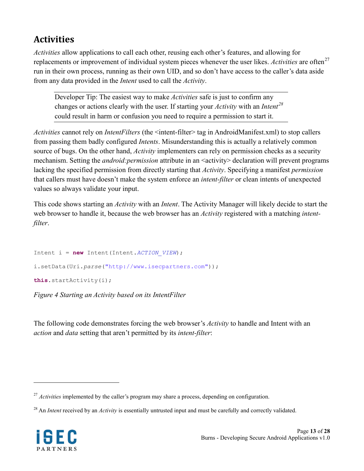## <span id="page-12-0"></span>**Activities**

*Activities* allow applications to call each other, reusing each other's features, and allowing for replacements or improvement of individual system pieces whenever the user likes. *Activities* are often<sup>[27](#page-12-1)</sup> run in their own process, running as their own UID, and so don't have access to the caller's data aside from any data provided in the *Intent* used to call the *Activity*.

Developer Tip: The easiest way to make *Activities* safe is just to confirm any changes or actions clearly with the user. If starting your *Activity* with an *Intent [28](#page-12-2)* could result in harm or confusion you need to require a permission to start it.

*Activities* cannot rely on *IntentFilters* (the <intent-filter> tag in AndroidManifest.xml) to stop callers from passing them badly configured *Intents*. Misunderstanding this is actually a relatively common source of bugs. On the other hand, *Activity* implementers can rely on permission checks as a security mechanism. Setting the *android:permission* attribute in an <activity> declaration will prevent programs lacking the specified permission from directly starting that *Activity*. Specifying a manifest *permission* that callers must have doesn't make the system enforce an *intent-filter* or clean intents of unexpected values so always validate your input.

This code shows starting an *Activity* with an *Intent*. The Activity Manager will likely decide to start the web browser to handle it, because the web browser has an *Activity* registered with a matching *intentfilter*.

```
Intent i = new Intent(Intent.ACTION_VIEW);
i.setData(Uri.parse("http://www.isecpartners.com"));
this.startActivity(i);
```
*Figure 4 Starting an Activity based on its IntentFilter*

The following code demonstrates forcing the web browser's *Activity* to handle and Intent with an *action* and *data* setting that aren't permitted by its *intent-filter*:

<span id="page-12-2"></span><sup>&</sup>lt;sup>28</sup> An *Intent* received by an *Activity* is essentially untrusted input and must be carefully and correctly validated.



<span id="page-12-1"></span><sup>&</sup>lt;sup>27</sup> *Activities* implemented by the caller's program may share a process, depending on configuration.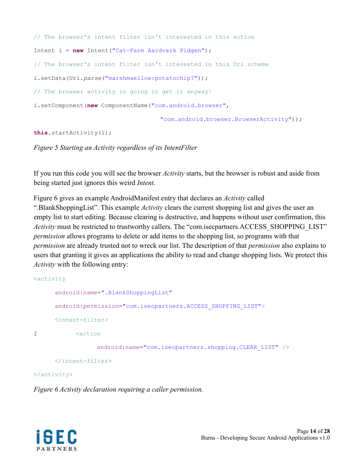```
// The browser's intent filter isn't interested in this action
Intent i = new Intent("Cat-Farm Aardvark Pidgen");
// The browser's intent filter isn't interested in this Uri scheme
i.setData(Uri.parse("marshmaellow:potatochip?"));
// The browser activity is going to get it anyway!
i.setComponent(new ComponentName("com.android.browser",
                                   "com.android.browser.BrowserActivity"));
```

```
this.startActivity(i);
```
#### *Figure 5 Starting an Activity regardless of its IntentFilter*

If you run this code you will see the browser *Activity* starts, but the browser is robust and aside from being started just ignores this weird *Intent*.

[Figure 6](#page-13-0) gives an example AndroidManifest entry that declares an *Activity* called ".BlankShoppingList". This example *Activity* clears the current shopping list and gives the user an empty list to start editing. Because clearing is destructive, and happens without user confirmation, this *Activity* must be restricted to trustworthy callers. The "com.isecpartners.ACCESS\_SHOPPING\_LIST" *permission* allows programs to delete or add items to the shopping list, so programs with that *permission* are already trusted not to wreck our list. The description of that *permission* also explains to users that granting it gives an applications the ability to read and change shopping lists. We protect this *Activity* with the following entry:

```
<activity
     android:name=".BlankShoppingList"
     android:permission="com.isecpartners.ACCESS_SHOPPING_LIST">
     <intent-filter>
I <action
                 android:name="com.isecpartners.shopping.CLEAR_LIST" />
     </intent-filter>
```
#### </activity>

<span id="page-13-0"></span>*Figure 6 Activity declaration requiring a caller permission.*

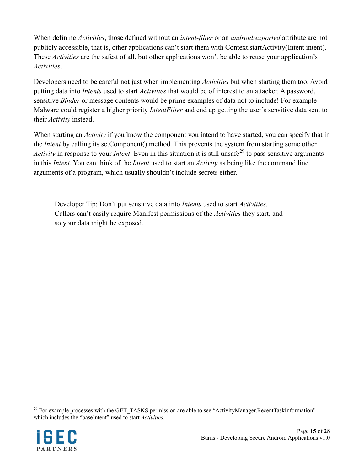When defining *Activities*, those defined without an *intent-filter* or an *android:exported* attribute are not publicly accessible, that is, other applications can't start them with Context.startActivity(Intent intent). These *Activities* are the safest of all, but other applications won't be able to reuse your application's *Activities*.

Developers need to be careful not just when implementing *Activities* but when starting them too. Avoid putting data into *Intents* used to start *Activities* that would be of interest to an attacker. A password, sensitive *Binder* or message contents would be prime examples of data not to include! For example Malware could register a higher priority *IntentFilter* and end up getting the user's sensitive data sent to their *Activity* instead.

When starting an *Activity* if you know the component you intend to have started, you can specify that in the *Intent* by calling its setComponent() method. This prevents the system from starting some other *Activity* in response to your *Intent*. Even in this situation it is still unsafe<sup>[29](#page-14-0)</sup> to pass sensitive arguments in this *Intent*. You can think of the *Intent* used to start an *Activity* as being like the command line arguments of a program, which usually shouldn't include secrets either.

Developer Tip: Don't put sensitive data into *Intents* used to start *Activities*. Callers can't easily require Manifest permissions of the *Activities* they start, and so your data might be exposed.

<span id="page-14-0"></span><sup>&</sup>lt;sup>29</sup> For example processes with the GET\_TASKS permission are able to see "ActivityManager.RecentTaskInformation" which includes the "baseIntent" used to start *Activities*.

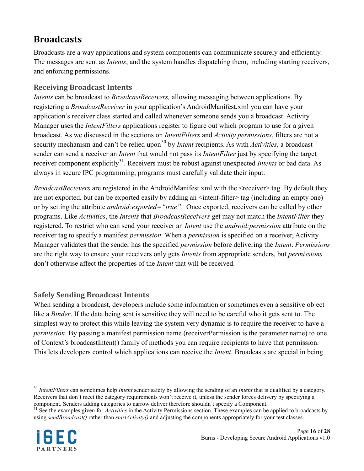### <span id="page-15-0"></span>**Broadcasts**

Broadcasts are a way applications and system components can communicate securely and efficiently. The messages are sent as *Intents*, and the system handles dispatching them, including starting receivers, and enforcing permissions.

### <span id="page-15-1"></span>**Receiving Broadcast Intents**

*Intents* can be broadcast to *BroadcastReceivers,* allowing messaging between applications. By registering a *BroadcastReceiver* in your application's AndroidManifest.xml you can have your application's receiver class started and called whenever someone sends you a broadcast. Activity Manager uses the *IntentFilters* applications register to figure out which program to use for a given broadcast. As we discussed in the sections on *IntentFilters* and *Activity permissions*, filters are not a security mechanism and can't be relied upon<sup>[30](#page-15-3)</sup> by *Intent* recipients. As with *Activities*, a broadcast sender can send a receiver an *Intent* that would not pass its *IntentFilter* just by specifying the target receiver component explicitly<sup>[31](#page-15-4)</sup>. Receivers must be robust against unexpected *Intents* or bad data. As always in secure IPC programming, programs must carefully validate their input.

*BroadcastRecievers* are registered in the AndroidManifest.xml with the <receiver> tag. By default they are not exported, but can be exported easily by adding an  $\leq$  intent-filter $\geq$  tag (including an empty one) or by setting the attribute *android:exported="true"*. Once exported, receivers can be called by other programs. Like *Activities*, the *Intents* that *BroadcastReceivers* get may not match the *IntentFilter* they registered. To restrict who can send your receiver an *Intent* use the *android:permission* attribute on the receiver tag to specify a manifest *permission*. When a *permission* is specified on a receiver, Activity Manager validates that the sender has the specified *permission* before delivering the *Intent*. *Permissions* are the right way to ensure your receivers only gets *Intents* from appropriate senders, but *permissions* don't otherwise affect the properties of the *Intent* that will be received.

#### <span id="page-15-2"></span>**Safely Sending Broadcast Intents**

When sending a broadcast, developers include some information or sometimes even a sensitive object like a *Binder*. If the data being sent is sensitive they will need to be careful who it gets sent to. The simplest way to protect this while leaving the system very dynamic is to require the receiver to have a *permission*. By passing a manifest permission name (receiverPermission is the parameter name) to one of Context's broadcastIntent() family of methods you can require recipients to have that permission. This lets developers control which applications can receive the *Intent*. Broadcasts are special in being

<span id="page-15-4"></span><sup>&</sup>lt;sup>31</sup> See the examples given for *Activities* in the Activity Permissions section. These examples can be applied to broadcasts by using *sendBroadcast()* rather than *startActivity()* and adjusting the components appropriately for your test classes.



<span id="page-15-3"></span><sup>30</sup> *IntentFilters* can sometimes help *Intent* sender safety by allowing the sending of an *Intent* that is qualified by a category. Receivers that don't meet the category requirements won't receive it, unless the sender forces delivery by specifying a component. Senders adding categories to narrow deliver therefore shouldn't specify a Component.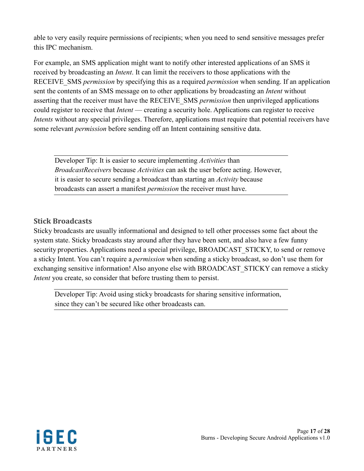able to very easily require permissions of recipients; when you need to send sensitive messages prefer this IPC mechanism.

For example, an SMS application might want to notify other interested applications of an SMS it received by broadcasting an *Intent*. It can limit the receivers to those applications with the RECEIVE\_SMS *permission* by specifying this as a required *permission* when sending. If an application sent the contents of an SMS message on to other applications by broadcasting an *Intent* without asserting that the receiver must have the RECEIVE\_SMS *permission* then unprivileged applications could register to receive that *Intent* — creating a security hole. Applications can register to receive *Intents* without any special privileges. Therefore, applications must require that potential receivers have some relevant *permission* before sending off an Intent containing sensitive data.

Developer Tip: It is easier to secure implementing *Activities* than *BroadcastReceivers* because *Activities* can ask the user before acting. However, it is easier to secure sending a broadcast than starting an *Activity* because broadcasts can assert a manifest *permission* the receiver must have.

#### <span id="page-16-0"></span>**Stick Broadcasts**

Sticky broadcasts are usually informational and designed to tell other processes some fact about the system state. Sticky broadcasts stay around after they have been sent, and also have a few funny security properties. Applications need a special privilege, BROADCAST\_STICKY, to send or remove a sticky Intent. You can't require a *permission* when sending a sticky broadcast, so don't use them for exchanging sensitive information! Also anyone else with BROADCAST\_STICKY can remove a sticky *Intent* you create, so consider that before trusting them to persist.

Developer Tip: Avoid using sticky broadcasts for sharing sensitive information, since they can't be secured like other broadcasts can.

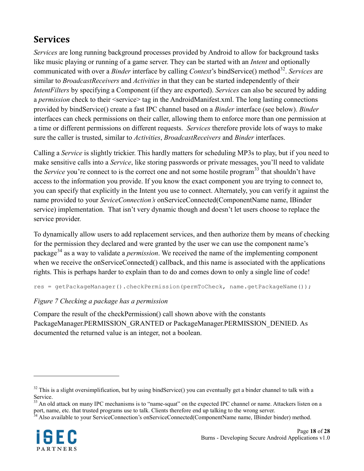## <span id="page-17-0"></span>**Services**

*Services* are long running background processes provided by Android to allow for background tasks like music playing or running of a game server. They can be started with an *Intent* and optionally communicated with over a *Binder* interface by calling *Context*'s bindService() method<sup>[32](#page-17-1)</sup>. Services are similar to *BroadcastReceivers* and *Activities* in that they can be started independently of their *IntentFilters* by specifying a Component (if they are exported). *Services* can also be secured by adding a *permission* check to their <service> tag in the AndroidManifest.xml. The long lasting connections provided by bindService() create a fast IPC channel based on a *Binder* interface (see below). *Binder* interfaces can check permissions on their caller, allowing them to enforce more than one permission at a time or different permissions on different requests. *Services* therefore provide lots of ways to make sure the caller is trusted, similar to *Activities*, *BroadcastReceivers* and *Binder* interfaces.

Calling a *Service* is slightly trickier. This hardly matters for scheduling MP3s to play, but if you need to make sensitive calls into a *Service*, like storing passwords or private messages, you'll need to validate the *Service* you're connect to is the correct one and not some hostile program [33](#page-17-2) that shouldn't have access to the information you provide. If you know the exact component you are trying to connect to, you can specify that explicitly in the Intent you use to connect. Alternately, you can verify it against the name provided to your *SeviceConnection's* onServiceConnected(ComponentName name, IBinder service) implementation. That isn't very dynamic though and doesn't let users choose to replace the service provider.

To dynamically allow users to add replacement services, and then authorize them by means of checking for the permission they declared and were granted by the user we can use the component name's package [34](#page-17-3) as a way to validate a *permission*. We received the name of the implementing component when we receive the onServiceConnected() callback, and this name is associated with the applications rights. This is perhaps harder to explain than to do and comes down to only a single line of code!

res = getPackageManager().checkPermission(permToCheck, name.getPackageName());

#### *Figure 7 Checking a package has a permission*

Compare the result of the checkPermission() call shown above with the constants PackageManager.PERMISSION\_GRANTED or PackageManager.PERMISSION\_DENIED. As documented the returned value is an integer, not a boolean.

<span id="page-17-3"></span>

<span id="page-17-1"></span> $32$  This is a slight oversimplification, but by using bindService() you can eventually get a binder channel to talk with a Service.

<span id="page-17-2"></span><sup>&</sup>lt;sup>33</sup> An old attack on many IPC mechanisms is to "name-squat" on the expected IPC channel or name. Attackers listen on a port, name, etc. that trusted programs use to talk. Clients therefore end up talking to the wrong server.<br><sup>34</sup> Also available to your ServiceConnection's onServiceConnected(ComponentName name, IBinder binder) method.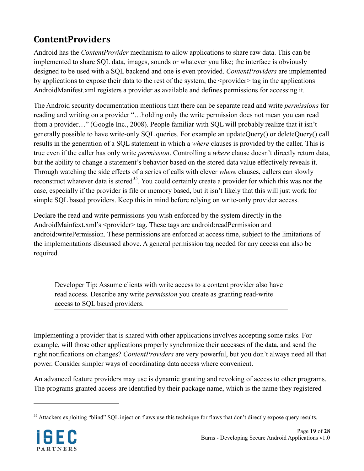# <span id="page-18-0"></span>**ContentProviders**

Android has the *ContentProvider* mechanism to allow applications to share raw data. This can be implemented to share SQL data, images, sounds or whatever you like; the interface is obviously designed to be used with a SQL backend and one is even provided. *ContentProviders* are implemented by applications to expose their data to the rest of the system, the <provider> tag in the applications AndroidManifest.xml registers a provider as available and defines permissions for accessing it.

The Android security documentation mentions that there can be separate read and write *permissions* for reading and writing on a provider "…holding only the write permission does not mean you can read from a provider..." (Google Inc., 2008). People familiar with SQL will probably realize that it isn't generally possible to have write-only SQL queries. For example an updateQuery() or deleteQuery() call results in the generation of a SQL statement in which a *where* clauses is provided by the caller. This is true even if the caller has only write *permission*. Controlling a *where* clause doesn't directly return data, but the ability to change a statement's behavior based on the stored data value effectively reveals it. Through watching the side effects of a series of calls with clever *where* clauses, callers can slowly reconstruct whatever data is stored<sup>[35](#page-18-1)</sup>. You could certainly create a provider for which this was not the case, especially if the provider is file or memory based, but it isn't likely that this will just work for simple SQL based providers. Keep this in mind before relying on write-only provider access.

Declare the read and write permissions you wish enforced by the system directly in the AndroidMainfext.xml's <provider> tag. These tags are android:readPermission and android:writePermission. These permissions are enforced at access time, subject to the limitations of the implementations discussed above. A general permission tag needed for any access can also be required.

Developer Tip: Assume clients with write access to a content provider also have read access. Describe any write *permission* you create as granting read-write access to SQL based providers.

Implementing a provider that is shared with other applications involves accepting some risks. For example, will those other applications properly synchronize their accesses of the data, and send the right notifications on changes? *ContentProviders* are very powerful, but you don't always need all that power. Consider simpler ways of coordinating data access where convenient.

An advanced feature providers may use is dynamic granting and revoking of access to other programs. The programs granted access are identified by their package name, which is the name they registered

<span id="page-18-1"></span> $35$  Attackers exploiting "blind" SQL injection flaws use this technique for flaws that don't directly expose query results.

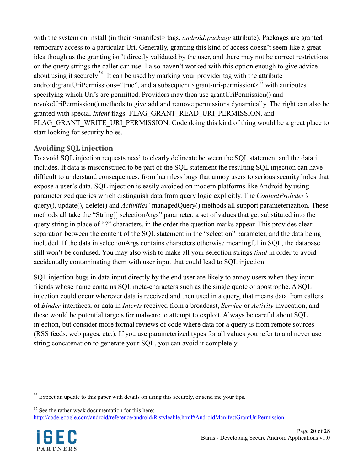with the system on install (in their <manifest> tags, *android:package* attribute). Packages are granted temporary access to a particular Uri. Generally, granting this kind of access doesn't seem like a great idea though as the granting isn't directly validated by the user, and there may not be correct restrictions on the query strings the caller can use. I also haven't worked with this option enough to give advice about using it securely<sup>36</sup>. It can be used by marking your provider tag with the attribute android:grantUriPermissions="true", and a subsequent <grant-uri-permission><sup>[37](#page-19-2)</sup> with attributes specifying which Uri's are permitted. Providers may then use grantUriPermission() and revokeUriPermission() methods to give add and remove permissions dynamically. The right can also be granted with special *Intent* flags: FLAG\_GRANT\_READ\_URI\_PERMISSION, and FLAG GRANT WRITE URI PERMISSION. Code doing this kind of thing would be a great place to start looking for security holes.

### <span id="page-19-0"></span>**Avoiding SQL injection**

To avoid SQL injection requests need to clearly delineate between the SQL statement and the data it includes. If data is misconstrued to be part of the SQL statement the resulting SQL injection can have difficult to understand consequences, from harmless bugs that annoy users to serious security holes that expose a user's data. SQL injection is easily avoided on modern platforms like Android by using parameterized queries which distinguish data from query logic explicitly. The *ContentProivder's* query(), update(), delete() and *Activities'* managedQuery() methods all support parameterization. These methods all take the "String[] selectionArgs" parameter, a set of values that get substituted into the query string in place of "?" characters, in the order the question marks appear. This provides clear separation between the content of the SQL statement in the "selection" parameter, and the data being included. If the data in selectionArgs contains characters otherwise meaningful in SQL, the database still won't be confused. You may also wish to make all your selection strings *final* in order to avoid accidentally contaminating them with user input that could lead to SQL injection.

SQL injection bugs in data input directly by the end user are likely to annoy users when they input friends whose name contains SQL meta-characters such as the single quote or apostrophe. A SQL injection could occur wherever data is received and then used in a query, that means data from callers of *Binder* interfaces, or data in *Intents* received from a broadcast, *Service* or *Activity* invocation, and these would be potential targets for malware to attempt to exploit. Always be careful about SQL injection, but consider more formal reviews of code where data for a query is from remote sources (RSS feeds, web pages, etc.). If you use parameterized types for all values you refer to and never use string concatenation to generate your SQL, you can avoid it completely.

<span id="page-19-2"></span> $37$  See the rather weak documentation for this here: <http://code.google.com/android/reference/android/R.styleable.html#AndroidManifestGrantUriPermission>



<span id="page-19-1"></span><sup>&</sup>lt;sup>36</sup> Expect an update to this paper with details on using this securely, or send me your tips.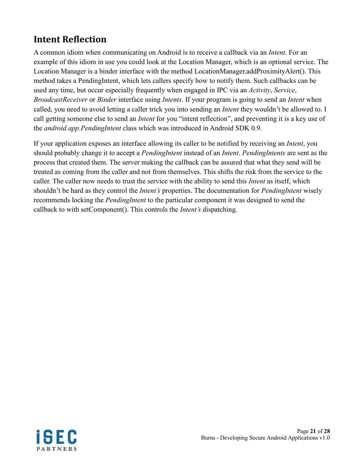## <span id="page-20-0"></span>**Intent Reflection**

A common idiom when communicating on Android is to receive a callback via an *Intent*. For an example of this idiom in use you could look at the Location Manager, which is an optional service. The Location Manager is a binder interface with the method LocationManager.addProximityAlert(). This method takes a PendingIntent, which lets callers specify how to notify them. Such callbacks can be used any time, but occur especially frequently when engaged in IPC via an *Activity*, *Service*, *BroadcastReceiver* or *Binder* interface using *Intents*. If your program is going to send an *Intent* when called, you need to avoid letting a caller trick you into sending an *Intent* they wouldn't be allowed to. I call getting someone else to send an *Intent* for you "intent reflection", and preventing it is a key use of the *android.app.PendingIntent* class which was introduced in Android SDK 0.9.

If your application exposes an interface allowing its caller to be notified by receiving an *Intent*, you should probably change it to accept a *PendingIntent* instead of an *Intent*. *PendingIntents* are sent as the process that created them. The server making the callback can be assured that what they send will be treated as coming from the caller and not from themselves. This shifts the risk from the service to the caller. The caller now needs to trust the service with the ability to send this *Intent* as itself, which shouldn't be hard as they control the *Intent's* properties. The documentation for *PendingIntent* wisely recommends locking the *PendingIntent* to the particular component it was designed to send the callback to with setComponent(). This controls the *Intent's* dispatching.

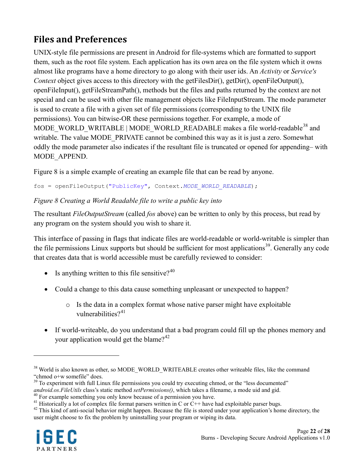# <span id="page-21-0"></span>**Files and Preferences**

UNIX-style file permissions are present in Android for file-systems which are formatted to support them, such as the root file system. Each application has its own area on the file system which it owns almost like programs have a home directory to go along with their user ids. An *Activity* or *Service's Context* object gives access to this directory with the getFilesDir(), getDir(), openFileOutput(), openFileInput(), getFileStreamPath(), methods but the files and paths returned by the context are not special and can be used with other file management objects like FileInputStream. The mode parameter is used to create a file with a given set of file permissions (corresponding to the UNIX file permissions). You can bitwise-OR these permissions together. For example, a mode of MODE\_WORLD\_WRITABLE | MODE\_WORLD\_READABLE makes a file world-readable<sup>[38](#page-21-2)</sup> and writable. The value MODE\_PRIVATE cannot be combined this way as it is just a zero. Somewhat oddly the mode parameter also indicates if the resultant file is truncated or opened for appending– with MODE\_APPEND.

[Figure 8](#page-21-1) is a simple example of creating an example file that can be read by anyone.

fos = openFileOutput("PublicKey", Context.*MODE\_WORLD\_READABLE*);

#### <span id="page-21-1"></span>*Figure 8 Creating a World Readable file to write a public key into*

The resultant *FileOutputStream* (called *fos* above) can be written to only by this process, but read by any program on the system should you wish to share it.

This interface of passing in flags that indicate files are world-readable or world-writable is simpler than the file permissions Linux supports but should be sufficient for most applications<sup>[39](#page-21-3)</sup>. Generally any code that creates data that is world accessible must be carefully reviewed to consider:

- Is anything written to this file sensitive? $40$
- Could a change to this data cause something unpleasant or unexpected to happen?
	- $\circ$  Is the data in a complex format whose native parser might have exploitable vulnerabilities $2^{41}$  $2^{41}$  $2^{41}$
- If world-writeable, do you understand that a bad program could fill up the phones memory and your application would get the blame?<sup>[42](#page-21-6)</sup>

<span id="page-21-4"></span><sup>&</sup>lt;sup>40</sup> For example something you only know because of a permission you have.<br><sup>41</sup> Historically a lot of complex file format parsers written in C or C<sup>++</sup> have had exploitable parser bugs.<br><sup>42</sup> This kind of anti-social behav user might choose to fix the problem by uninstalling your program or wiping its data.



<span id="page-21-2"></span><sup>&</sup>lt;sup>38</sup> World is also known as other, so MODE\_WORLD\_WRITEABLE creates other writeable files, like the command "chmod o+w somefile" does.

<span id="page-21-3"></span><sup>&</sup>lt;sup>39</sup> To experiment with full Linux file permissions you could try executing chmod, or the "less documented" *android.os.FileUtils* class's static method *setPermissions()*, which takes a filename, a mode uid and gid.

<span id="page-21-6"></span><span id="page-21-5"></span>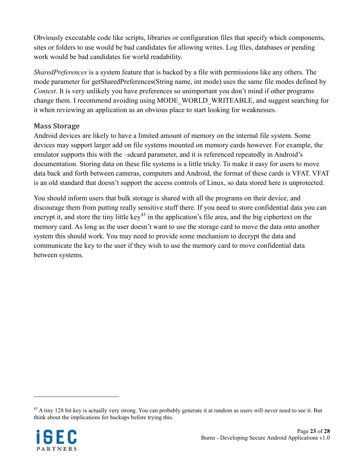Obviously executable code like scripts, libraries or configuration files that specify which components, sites or folders to use would be bad candidates for allowing writes. Log files, databases or pending work would be bad candidates for world readability.

*SharedPreferences* is a system feature that is backed by a file with permissions like any others. The mode parameter for getSharedPreferences(String name, int mode) uses the same file modes defined by *Context*. It is very unlikely you have preferences so unimportant you don't mind if other programs change them. I recommend avoiding using MODE\_WORLD\_WRITEABLE, and suggest searching for it when reviewing an application as an obvious place to start looking for weaknesses.

#### <span id="page-22-0"></span>**Mass Storage**

Android devices are likely to have a limited amount of memory on the internal file system. Some devices may support larger add on file systems mounted on memory cards however. For example, the emulator supports this with the –sdcard parameter, and it is referenced repeatedly in Android's documentation. Storing data on these file systems is a little tricky. To make it easy for users to move data back and forth between cameras, computers and Android, the format of these cards is VFAT. VFAT is an old standard that doesn't support the access controls of Linux, so data stored here is unprotected.

You should inform users that bulk storage is shared with all the programs on their device, and discourage them from putting really sensitive stuff there. If you need to store confidential data you can encrypt it, and store the tiny little key<sup>[43](#page-22-1)</sup> in the application's file area, and the big ciphertext on the memory card. As long as the user doesn't want to use the storage card to move the data onto another system this should work. You may need to provide some mechanism to decrypt the data and communicate the key to the user if they wish to use the memory card to move confidential data between systems.

<span id="page-22-1"></span> $43$  A tiny 128 bit key is actually very strong. You can probably generate it at random as users will never need to see it. But think about the implications for backups before trying this.

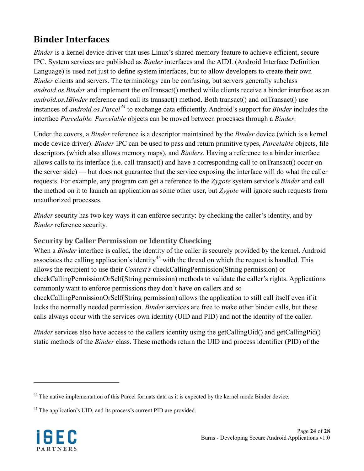## <span id="page-23-0"></span>**Binder Interfaces**

*Binder* is a kernel device driver that uses Linux's shared memory feature to achieve efficient, secure IPC. System services are published as *Binder* interfaces and the AIDL (Android Interface Definition Language) is used not just to define system interfaces, but to allow developers to create their own *Binder* clients and servers. The terminology can be confusing, but servers generally subclass *android.os.Binder* and implement the onTransact() method while clients receive a binder interface as an *android.os.IBinder* reference and call its transact() method. Both transact() and onTransact() use instances of *android.os.Parcel[44](#page-23-2)* to exchange data efficiently. Android's support for *Binder* includes the interface *Parcelable. Parcelable* objects can be moved between processes through a *Binder*.

Under the covers, a *Binder* reference is a descriptor maintained by the *Binder* device (which is a kernel mode device driver). *Binder* IPC can be used to pass and return primitive types, *Parcelable* objects, file descriptors (which also allows memory maps), and *Binders*. Having a reference to a binder interface allows calls to its interface (i.e. call transact() and have a corresponding call to onTransact() occur on the server side) — but does not guarantee that the service exposing the interface will do what the caller requests. For example, any program can get a reference to the *Zygote* system service's *Binder* and call the method on it to launch an application as some other user, but *Zygote* will ignore such requests from unauthorized processes.

*Binder* security has two key ways it can enforce security: by checking the caller's identity, and by *Binder* reference security.

### <span id="page-23-1"></span>**Security by Caller Permission or Identity Checking**

When a *Binder* interface is called, the identity of the caller is securely provided by the kernel. Android associates the calling application's identity<sup>[45](#page-23-3)</sup> with the thread on which the request is handled. This allows the recipient to use their *Context's* checkCallingPermission(String permission) or checkCallingPermissionOrSelf(String permission) methods to validate the caller's rights. Applications commonly want to enforce permissions they don't have on callers and so checkCallingPermissionOrSelf(String permission) allows the application to still call itself even if it lacks the normally needed permission. *Binder* services are free to make other binder calls, but these calls always occur with the services own identity (UID and PID) and not the identity of the caller.

*Binder* services also have access to the callers identity using the getCallingUid() and getCallingPid() static methods of the *Binder* class. These methods return the UID and process identifier (PID) of the

<span id="page-23-3"></span><sup>&</sup>lt;sup>45</sup> The application's UID, and its process's current PID are provided.



<span id="page-23-2"></span><sup>&</sup>lt;sup>44</sup> The native implementation of this Parcel formats data as it is expected by the kernel mode Binder device.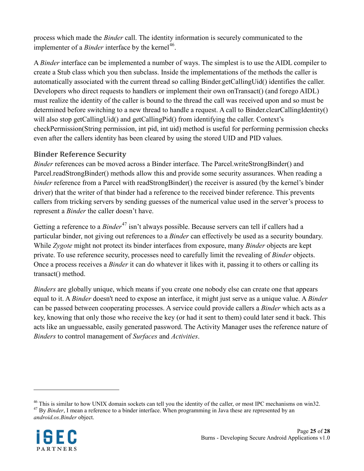process which made the *Binder* call. The identity information is securely communicated to the implementer of a *Binder* interface by the kernel<sup>[46](#page-24-1)</sup>.

A *Binder* interface can be implemented a number of ways. The simplest is to use the AIDL compiler to create a Stub class which you then subclass. Inside the implementations of the methods the caller is automatically associated with the current thread so calling Binder.getCallingUid() identifies the caller. Developers who direct requests to handlers or implement their own onTransact() (and forego AIDL) must realize the identity of the caller is bound to the thread the call was received upon and so must be determined before switching to a new thread to handle a request. A call to Binder.clearCallingIdentity() will also stop getCallingUid() and getCallingPid() from identifying the caller. Context's checkPermission(String permission, int pid, int uid) method is useful for performing permission checks even after the callers identity has been cleared by using the stored UID and PID values.

#### <span id="page-24-0"></span>**Binder Reference Security**

*Binder* references can be moved across a Binder interface. The Parcel.writeStrongBinder() and Parcel.readStrongBinder() methods allow this and provide some security assurances. When reading a *binder* reference from a Parcel with readStrongBinder() the receiver is assured (by the kernel's binder driver) that the writer of that binder had a reference to the received binder reference. This prevents callers from tricking servers by sending guesses of the numerical value used in the server's process to represent a *Binder* the caller doesn't have.

Getting a reference to a *Binder*<sup>[47](#page-24-2)</sup> isn't always possible. Because servers can tell if callers had a particular binder, not giving out references to a *Binder* can effectively be used as a security boundary. While *Zygote* might not protect its binder interfaces from exposure, many *Binder* objects are kept private. To use reference security, processes need to carefully limit the revealing of *Binder* objects. Once a process receives a *Binder* it can do whatever it likes with it, passing it to others or calling its transact() method.

*Binders* are globally unique, which means if you create one nobody else can create one that appears equal to it. A *Binder* doesn't need to expose an interface, it might just serve as a unique value. A *Binder* can be passed between cooperating processes. A service could provide callers a *Binder* which acts as a key, knowing that only those who receive the key (or had it sent to them) could later send it back. This acts like an unguessable, easily generated password. The Activity Manager uses the reference nature of *Binders* to control management of *Surfaces* and *Activities*.

<span id="page-24-2"></span><span id="page-24-1"></span><sup>&</sup>lt;sup>46</sup> This is similar to how UNIX domain sockets can tell you the identity of the caller, or most IPC mechanisms on win32.<br><sup>47</sup> By *Binder*, I mean a reference to a binder interface. When programming in Java these are repr *android.os.Binder* object.

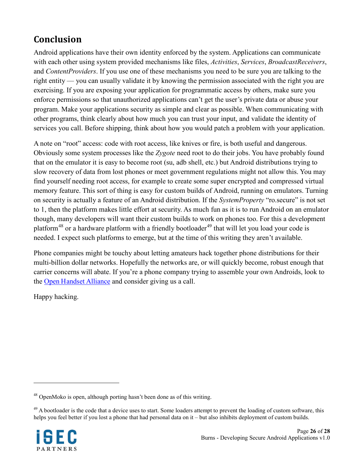## <span id="page-25-0"></span>**Conclusion**

Android applications have their own identity enforced by the system. Applications can communicate with each other using system provided mechanisms like files, *Activities*, *Services*, *BroadcastReceivers*, and *ContentProviders*. If you use one of these mechanisms you need to be sure you are talking to the right entity — you can usually validate it by knowing the permission associated with the right you are exercising. If you are exposing your application for programmatic access by others, make sure you enforce permissions so that unauthorized applications can't get the user's private data or abuse your program. Make your applications security as simple and clear as possible. When communicating with other programs, think clearly about how much you can trust your input, and validate the identity of services you call. Before shipping, think about how you would patch a problem with your application.

A note on "root" access: code with root access, like knives or fire, is both useful and dangerous. Obviously some system processes like the *Zygote* need root to do their jobs. You have probably found that on the emulator it is easy to become root (su, adb shell, etc.) but Android distributions trying to slow recovery of data from lost phones or meet government regulations might not allow this. You may find yourself needing root access, for example to create some super encrypted and compressed virtual memory feature. This sort of thing is easy for custom builds of Android, running on emulators. Turning on security is actually a feature of an Android distribution. If the *SystemProperty* "ro.secure" is not set to 1, then the platform makes little effort at security. As much fun as it is to run Android on an emulator though, many developers will want their custom builds to work on phones too. For this a development platform<sup>[48](#page-25-1)</sup> or a hardware platform with a friendly bootloader<sup>[49](#page-25-2)</sup> that will let you load your code is needed. I expect such platforms to emerge, but at the time of this writing they aren't available.

Phone companies might be touchy about letting amateurs hack together phone distributions for their multi-billion dollar networks. Hopefully the networks are, or will quickly become, robust enough that carrier concerns will abate. If you're a phone company trying to assemble your own Androids, look to the **[Open Handset Alliance](http://www.openhandsetalliance.com/)** and consider giving us a call.

Happy hacking.

<span id="page-25-2"></span><sup>&</sup>lt;sup>49</sup> A bootloader is the code that a device uses to start. Some loaders attempt to prevent the loading of custom software, this helps you feel better if you lost a phone that had personal data on it – but also inhibits deployment of custom builds.



<span id="page-25-1"></span><sup>48</sup> OpenMoko is open, although porting hasn't been done as of this writing.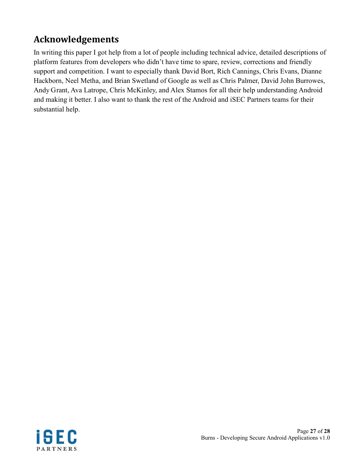## <span id="page-26-0"></span>**Acknowledgements**

In writing this paper I got help from a lot of people including technical advice, detailed descriptions of platform features from developers who didn't have time to spare, review, corrections and friendly support and competition. I want to especially thank David Bort, Rich Cannings, Chris Evans, Dianne Hackborn, Neel Metha, and Brian Swetland of Google as well as Chris Palmer, David John Burrowes, Andy Grant, Ava Latrope, Chris McKinley, and Alex Stamos for all their help understanding Android and making it better. I also want to thank the rest of the Android and iSEC Partners teams for their substantial help.